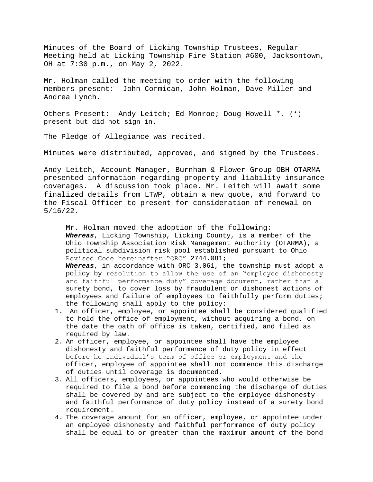Minutes of the Board of Licking Township Trustees, Regular Meeting held at Licking Township Fire Station #600, Jacksontown, OH at 7:30 p.m., on May 2, 2022.

Mr. Holman called the meeting to order with the following members present: John Cormican, John Holman, Dave Miller and Andrea Lynch.

Others Present: Andy Leitch; Ed Monroe; Doug Howell \*. (\*) present but did not sign in.

The Pledge of Allegiance was recited.

Minutes were distributed, approved, and signed by the Trustees.

Andy Leitch, Account Manager, Burnham & Flower Group OBH OTARMA presented information regarding property and liability insurance coverages. A discussion took place. Mr. Leitch will await some finalized details from LTWP, obtain a new quote, and forward to the Fiscal Officer to present for consideration of renewal on 5/16/22.

Mr. Holman moved the adoption of the following: *Whereas*, Licking Township, Licking County, is a member of the Ohio Township Association Risk Management Authority (OTARMA), a political subdivision risk pool established pursuant to Ohio Revised Code hereinafter "ORC" 2744.081; *Whereas*, in accordance with ORC 3.061, the township must adopt a policy by resolution to allow the use of an "employee dishonesty and faithful performance duty" coverage document, rather than a surety bond, to cover loss by fraudulent or dishonest actions of employees and failure of employees to faithfully perform duties; the following shall apply to the policy:

- 1. An officer, employee, or appointee shall be considered qualified to hold the office of employment, without acquiring a bond, on the date the oath of office is taken, certified, and filed as required by law.
- 2. An officer, employee, or appointee shall have the employee dishonesty and faithful performance of duty policy in effect before he individual's term of office or employment and the officer, employee of appointee shall not commence this discharge of duties until coverage is documented.
- 3. All officers, employees, or appointees who would otherwise be required to file a bond before commencing the discharge of duties shall be covered by and are subject to the employee dishonesty and faithful performance of duty policy instead of a surety bond requirement.
- 4. The coverage amount for an officer, employee, or appointee under an employee dishonesty and faithful performance of duty policy shall be equal to or greater than the maximum amount of the bond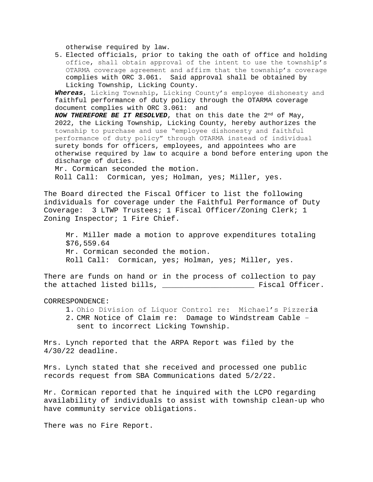otherwise required by law.

5. Elected officials, prior to taking the oath of office and holding office, shall obtain approval of the intent to use the township's OTARMA coverage agreement and affirm that the township's coverage complies with ORC 3.061. Said approval shall be obtained by Licking Township, Licking County.

*Whereas*, Licking Township, Licking County's employee dishonesty and faithful performance of duty policy through the OTARMA coverage document complies with ORC 3.061: and

*NOW THEREFORE BE IT RESOLVED*, that on this date the 2nd of May, 2022, the Licking Township, Licking County, hereby authorizes the township to purchase and use "employee dishonesty and faithful performance of duty policy" through OTARMA instead of individual surety bonds for officers, employees, and appointees who are otherwise required by law to acquire a bond before entering upon the discharge of duties.

Mr. Cormican seconded the motion. Roll Call: Cormican, yes; Holman, yes; Miller, yes.

The Board directed the Fiscal Officer to list the following individuals for coverage under the Faithful Performance of Duty Coverage: 3 LTWP Trustees; 1 Fiscal Officer/Zoning Clerk; 1 Zoning Inspector; 1 Fire Chief.

Mr. Miller made a motion to approve expenditures totaling \$76,559.64 Mr. Cormican seconded the motion. Roll Call: Cormican, yes; Holman, yes; Miller, yes.

There are funds on hand or in the process of collection to pay the attached listed bills, the state of state of the state of the state of  $\Gamma$ .

CORRESPONDENCE:

- 1. Ohio Division of Liquor Control re: Michael's Pizzeria
- 2. CMR Notice of Claim re: Damage to Windstream Cable sent to incorrect Licking Township.

Mrs. Lynch reported that the ARPA Report was filed by the 4/30/22 deadline.

Mrs. Lynch stated that she received and processed one public records request from SBA Communications dated 5/2/22.

Mr. Cormican reported that he inquired with the LCPO regarding availability of individuals to assist with township clean-up who have community service obligations.

There was no Fire Report.